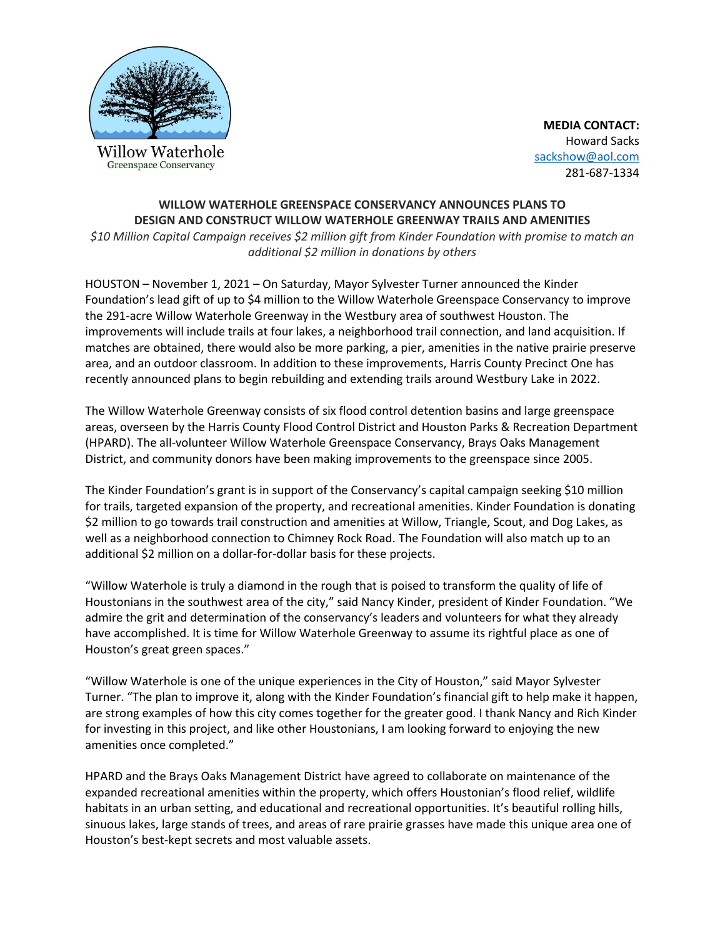

**Greenspace Conservancy** 

**MEDIA CONTACT:** Howard Sacks [sackshow@aol.com](mailto:sackshow@aol.com) 281-687-1334

## **WILLOW WATERHOLE GREENSPACE CONSERVANCY ANNOUNCES PLANS TO DESIGN AND CONSTRUCT WILLOW WATERHOLE GREENWAY TRAILS AND AMENITIES**

*\$10 Million Capital Campaign receives \$2 million gift from Kinder Foundation with promise to match an additional \$2 million in donations by others*

HOUSTON – November 1, 2021 – On Saturday, Mayor Sylvester Turner announced the Kinder Foundation's lead gift of up to \$4 million to the Willow Waterhole Greenspace Conservancy to improve the 291-acre Willow Waterhole Greenway in the Westbury area of southwest Houston. The improvements will include trails at four lakes, a neighborhood trail connection, and land acquisition. If matches are obtained, there would also be more parking, a pier, amenities in the native prairie preserve area, and an outdoor classroom. In addition to these improvements, Harris County Precinct One has recently announced plans to begin rebuilding and extending trails around Westbury Lake in 2022.

The Willow Waterhole Greenway consists of six flood control detention basins and large greenspace areas, overseen by the Harris County Flood Control District and Houston Parks & Recreation Department (HPARD). The all-volunteer Willow Waterhole Greenspace Conservancy, Brays Oaks Management District, and community donors have been making improvements to the greenspace since 2005.

The Kinder Foundation's grant is in support of the Conservancy's capital campaign seeking \$10 million for trails, targeted expansion of the property, and recreational amenities. Kinder Foundation is donating \$2 million to go towards trail construction and amenities at Willow, Triangle, Scout, and Dog Lakes, as well as a neighborhood connection to Chimney Rock Road. The Foundation will also match up to an additional \$2 million on a dollar-for-dollar basis for these projects.

"Willow Waterhole is truly a diamond in the rough that is poised to transform the quality of life of Houstonians in the southwest area of the city," said Nancy Kinder, president of Kinder Foundation. "We admire the grit and determination of the conservancy's leaders and volunteers for what they already have accomplished. It is time for Willow Waterhole Greenway to assume its rightful place as one of Houston's great green spaces."

"Willow Waterhole is one of the unique experiences in the City of Houston," said Mayor Sylvester Turner. "The plan to improve it, along with the Kinder Foundation's financial gift to help make it happen, are strong examples of how this city comes together for the greater good. I thank Nancy and Rich Kinder for investing in this project, and like other Houstonians, I am looking forward to enjoying the new amenities once completed."

HPARD and the Brays Oaks Management District have agreed to collaborate on maintenance of the expanded recreational amenities within the property, which offers Houstonian's flood relief, wildlife habitats in an urban setting, and educational and recreational opportunities. It's beautiful rolling hills, sinuous lakes, large stands of trees, and areas of rare prairie grasses have made this unique area one of Houston's best-kept secrets and most valuable assets.